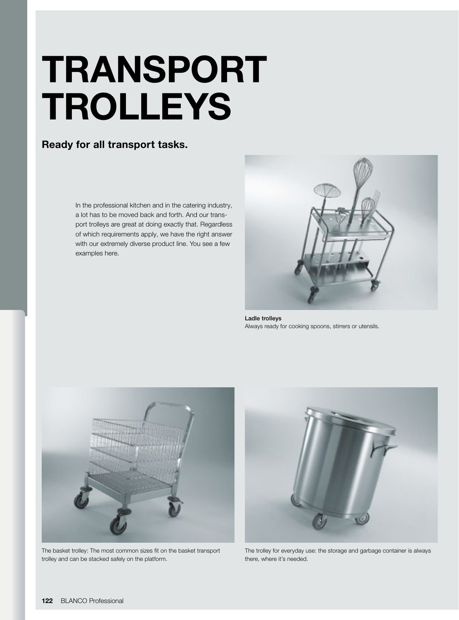# TRANSPORT TROLLEYS

### Ready for all transport tasks.

In the professional kitchen and in the catering industry, a lot has to be moved back and forth. And our transport trolleys are great at doing exactly that. Regardless of which requirements apply, we have the right answer with our extremely diverse product line. You see a few examples here.



Ladle trolleys Always ready for cooking spoons, stirrers or utensils.



The basket trolley: The most common sizes fit on the basket transport trolley and can be stacked safely on the platform.



The trolley for everyday use: the storage and garbage container is always there, where it's needed.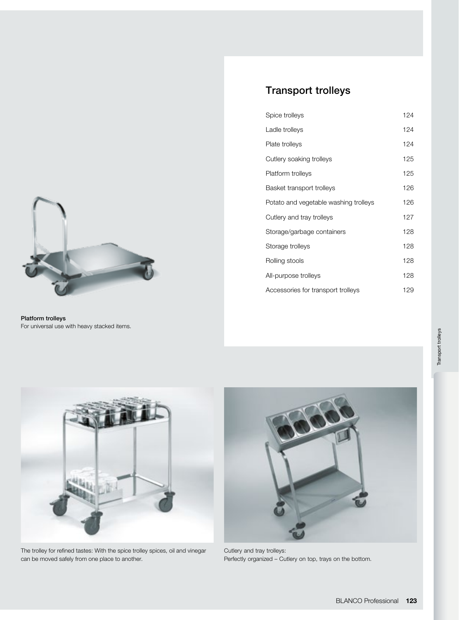

Platform trolleys For universal use with heavy stacked items.

| Spice trolleys                        | 124 |
|---------------------------------------|-----|
| Ladle trolleys                        | 124 |
| Plate trolleys                        | 124 |
| Cutlery soaking trolleys              | 125 |
| Platform trolleys                     | 125 |
| Basket transport trolleys             | 126 |
| Potato and vegetable washing trolleys | 126 |
| Cutlery and tray trolleys             | 127 |
| Storage/garbage containers            | 128 |
| Storage trolleys                      | 128 |
| Rolling stools                        | 128 |
| All-purpose trolleys                  | 128 |
| Accessories for transport trolleys    | 129 |
|                                       |     |



The trolley for refined tastes: With the spice trolley spices, oil and vinegar can be moved safely from one place to another.



Cutlery and tray trolleys: Perfectly organized – Cutlery on top, trays on the bottom.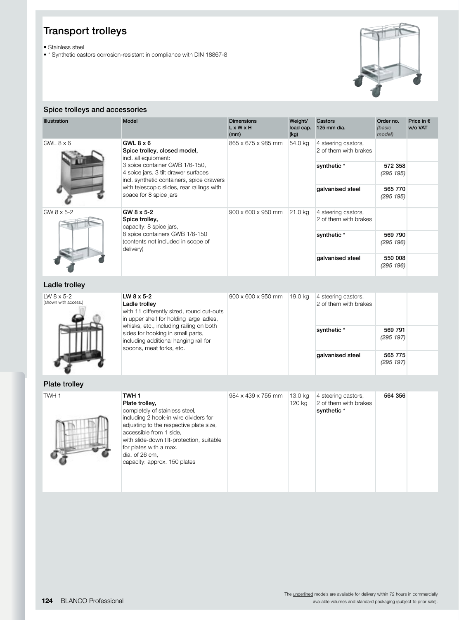• Stainless steel

• \* Synthetic castors corrosion-resistant in compliance with DIN 18867-8

dia. of 26 cm,

capacity: approx. 150 plates



#### Spice trolleys and accessories

| <b>Illustration</b>                         | <b>Model</b>                                                                                                                                                                                                                                                              | <b>Dimensions</b><br>$L \times W \times H$<br>(mm) | Weight/<br>load cap.<br>(kg) | Castors<br>125 mm dia.                                      | Order no.<br>(basic<br>model) | Price in $\epsilon$<br>w/o VAT |
|---------------------------------------------|---------------------------------------------------------------------------------------------------------------------------------------------------------------------------------------------------------------------------------------------------------------------------|----------------------------------------------------|------------------------------|-------------------------------------------------------------|-------------------------------|--------------------------------|
| $GWL$ 8 $\times$ 6                          | $GWL8 \times 6$<br>Spice trolley, closed model,<br>incl. all equipment:                                                                                                                                                                                                   | 865 x 675 x 985 mm                                 | 54.0 kg                      | 4 steering castors,<br>2 of them with brakes                |                               |                                |
|                                             | 3 spice container GWB 1/6-150,<br>4 spice jars, 3 tilt drawer surfaces<br>incl. synthetic containers, spice drawers                                                                                                                                                       |                                                    |                              | synthetic*                                                  | 572 358<br>(295 195)          |                                |
|                                             | with telescopic slides, rear railings with<br>space for 8 spice jars                                                                                                                                                                                                      |                                                    |                              | galvanised steel                                            | 565 770<br>(295 195)          |                                |
| GW 8 x 5-2                                  | GW 8 x 5-2<br>Spice trolley,<br>capacity: 8 spice jars,                                                                                                                                                                                                                   | 900 x 600 x 950 mm                                 | 21.0 kg                      | 4 steering castors,<br>2 of them with brakes                |                               |                                |
|                                             | 8 spice containers GWB 1/6-150<br>(contents not included in scope of<br>delivery)                                                                                                                                                                                         |                                                    |                              | synthetic*                                                  | 569 790<br>(295 196)          |                                |
|                                             |                                                                                                                                                                                                                                                                           |                                                    |                              | galvanised steel                                            | 550 008<br>(295 196)          |                                |
| Ladle trolley                               |                                                                                                                                                                                                                                                                           |                                                    |                              |                                                             |                               |                                |
| LW $8 \times 5 - 2$<br>(shown with access.) | LW 8 x 5-2<br>Ladle trolley<br>with 11 differently sized, round cut-outs<br>in upper shelf for holding large ladles,<br>whisks, etc., including railing on both<br>sides for hooking in small parts,<br>including additional hanging rail for<br>spoons, meat forks, etc. | 900 x 600 x 950 mm                                 | 19.0 kg                      | 4 steering castors,<br>2 of them with brakes                |                               |                                |
|                                             |                                                                                                                                                                                                                                                                           |                                                    |                              | synthetic*                                                  | 569 791<br>(295 197)          |                                |
|                                             |                                                                                                                                                                                                                                                                           |                                                    |                              | galvanised steel                                            | 565 775<br>(295 197)          |                                |
| Plate trolley                               |                                                                                                                                                                                                                                                                           |                                                    |                              |                                                             |                               |                                |
| TWH <sub>1</sub>                            | TWH <sub>1</sub><br>Plate trolley,<br>completely of stainless steel,<br>including 2 hook-in wire dividers for<br>adjusting to the respective plate size,<br>accessible from 1 side,<br>with slide-down tilt-protection, suitable<br>for plates with a max.                | 984 x 439 x 755 mm                                 | 13.0 kg<br>120 kg            | 4 steering castors,<br>2 of them with brakes<br>synthetic * | 564 356                       |                                |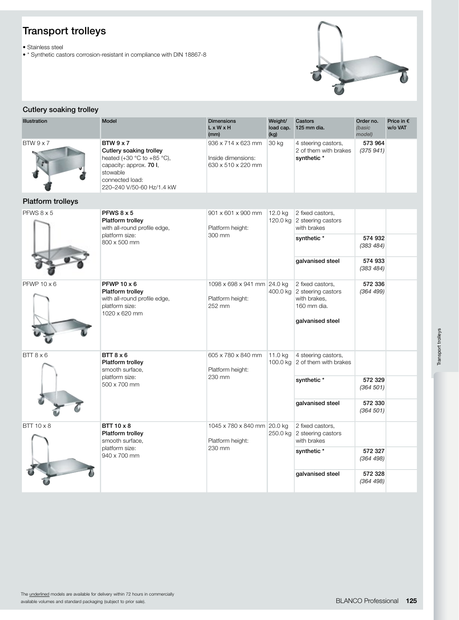• Stainless steel

• \* Synthetic castors corrosion-resistant in compliance with DIN 18867-8



#### Cutlery soaking trolley

| Illustration             | Model                                                                                                                                                            | <b>Dimensions</b><br>$L \times W \times H$<br>(mm)             | Weight/<br>load cap.<br>(kg) | Castors<br>125 mm dia.                                                                    | Order no.<br>(basic<br>model) | Price in €<br>w/o VAT |
|--------------------------|------------------------------------------------------------------------------------------------------------------------------------------------------------------|----------------------------------------------------------------|------------------------------|-------------------------------------------------------------------------------------------|-------------------------------|-----------------------|
| BTW9x7                   | <b>BTW 9 x 7</b><br>Cutlery soaking trolley<br>heated (+30 °C to +85 °C),<br>capacity: approx. 70 I,<br>stowable<br>connected load:<br>220-240 V/50-60 Hz/1.4 kW | 936 x 714 x 623 mm<br>Inside dimensions:<br>630 x 510 x 220 mm | 30 kg                        | 4 steering castors,<br>2 of them with brakes<br>synthetic *                               | 573 964<br>(375941)           |                       |
| <b>Platform trolleys</b> |                                                                                                                                                                  |                                                                |                              |                                                                                           |                               |                       |
| PFWS 8 x 5               | PFWS $8 \times 5$<br>Platform trolley<br>with all-round profile edge,                                                                                            | 901 x 601 x 900 mm<br>Platform height:                         | 12.0 kg                      | 2 fixed castors,<br>120.0 kg 2 steering castors<br>with brakes                            |                               |                       |
|                          | platform size:<br>800 x 500 mm                                                                                                                                   | 300 mm                                                         |                              | synthetic *                                                                               | 574 932<br>(383 484)          |                       |
|                          |                                                                                                                                                                  |                                                                |                              | galvanised steel                                                                          | 574 933<br>(383 484)          |                       |
| PFWP $10 \times 6$       | PFWP $10 \times 6$<br>Platform trolley<br>with all-round profile edge,<br>platform size:<br>1020 x 620 mm                                                        | 1098 x 698 x 941 mm 24.0 kg<br>Platform height:<br>252 mm      | 400.0 kg                     | 2 fixed castors.<br>2 steering castors<br>with brakes.<br>160 mm dia.<br>galvanised steel | 572 336<br>(364 499)          |                       |
| BTT8x6                   | $BTT8 \times 6$<br>Platform trolley<br>smooth surface,<br>platform size:<br>500 x 700 mm                                                                         | 605 x 780 x 840 mm<br>Platform height:<br>230 mm               | 11.0 kg                      | 4 steering castors,<br>100.0 kg 2 of them with brakes                                     |                               |                       |
|                          |                                                                                                                                                                  |                                                                |                              | synthetic *                                                                               | 572 329<br>(364 501)          |                       |
|                          |                                                                                                                                                                  |                                                                |                              | galvanised steel                                                                          | 572 330<br>(364 501)          |                       |
| $BTT10 \times 8$         | <b>BTT 10 x 8</b><br>Platform trolley<br>smooth surface,                                                                                                         | 1045 x 780 x 840 mm 20.0 kg<br>Platform height:                | 250.0 kg                     | 2 fixed castors,<br>2 steering castors<br>with brakes                                     |                               |                       |
|                          | platform size:<br>940 x 700 mm                                                                                                                                   | 230 mm                                                         |                              | synthetic *                                                                               | 572 327<br>(364 498)          |                       |
|                          |                                                                                                                                                                  |                                                                |                              | galvanised steel                                                                          | 572 328<br>(364 498)          |                       |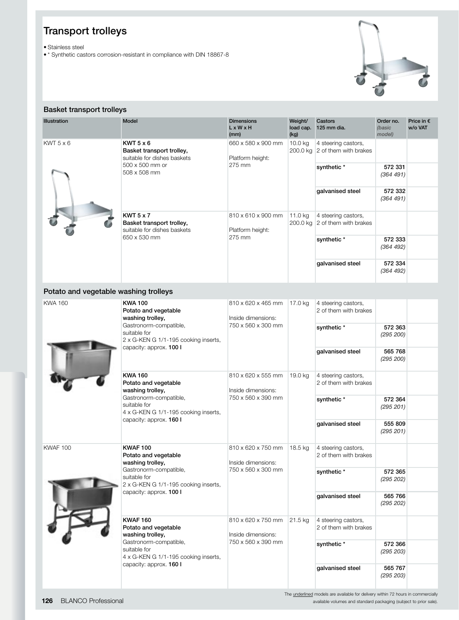• Stainless steel

• \* Synthetic castors corrosion-resistant in compliance with DIN 18867-8



#### Basket transport trolleys

| <b>Illustration</b> | Model                                                                                        | <b>Dimensions</b><br>$L \times W \times H$<br>(mm) | Weight/<br>load cap.<br>(kg) | Castors<br>125 mm dia.                                | Order no.<br>(basic<br>model) | Price in $\epsilon$<br>w/o VAT |                                                       |  |                      |
|---------------------|----------------------------------------------------------------------------------------------|----------------------------------------------------|------------------------------|-------------------------------------------------------|-------------------------------|--------------------------------|-------------------------------------------------------|--|----------------------|
| $KWT 5 \times 6$    | $KWT 5 \times 6$<br>Basket transport trolley,<br>suitable for dishes baskets                 | 660 x 580 x 900 mm<br>Platform height:<br>275 mm   |                              |                                                       |                               | 10.0 kg                        | 4 steering castors,<br>200.0 kg 2 of them with brakes |  |                      |
|                     | 500 x 500 mm or<br>508 x 508 mm                                                              |                                                    |                              |                                                       |                               |                                | synthetic*                                            |  | 572 331<br>(364 491) |
|                     |                                                                                              |                                                    |                              | galvanised steel                                      | 572 332<br>(364 491)          |                                |                                                       |  |                      |
|                     | $KWT 5 \times 7$<br>Basket transport trolley,<br>suitable for dishes baskets<br>650 x 530 mm | 810 x 610 x 900 mm<br>Platform height:<br>275 mm   | 11.0 kg                      | 4 steering castors,<br>200.0 kg 2 of them with brakes |                               |                                |                                                       |  |                      |
|                     |                                                                                              |                                                    |                              | synthetic*                                            | 572 333<br>(364 492)          |                                |                                                       |  |                      |
|                     |                                                                                              |                                                    |                              | galvanised steel                                      | 572 334<br>(364 492)          |                                |                                                       |  |                      |

#### Potato and vegetable washing trolleys

| <b>KWA 160</b>  | <b>KWA100</b><br>Potato and vegetable<br>washing trolley,                                                                                     | Inside dimensions:                                             | 810 x 620 x 465 mm |                                              | 17.0 kg              | 4 steering castors,<br>2 of them with brakes |  |  |
|-----------------|-----------------------------------------------------------------------------------------------------------------------------------------------|----------------------------------------------------------------|--------------------|----------------------------------------------|----------------------|----------------------------------------------|--|--|
|                 | Gastronorm-compatible,<br>suitable for<br>2 x G-KEN G 1/1-195 cooking inserts,                                                                | 750 x 560 x 300 mm                                             |                    | synthetic*                                   | 572 363<br>(295 200) |                                              |  |  |
|                 | capacity: approx. 100 I                                                                                                                       |                                                                |                    | galvanised steel                             | 565 768<br>(295 200) |                                              |  |  |
|                 | <b>KWA 160</b><br>Potato and vegetable<br>washing trolley,                                                                                    | 810 x 620 x 555 mm<br>Inside dimensions:<br>750 x 560 x 390 mm | 19.0 kg            | 4 steering castors,<br>2 of them with brakes |                      |                                              |  |  |
|                 | Gastronorm-compatible,<br>suitable for<br>4 x G-KEN G 1/1-195 cooking inserts,<br>capacity: approx. 160 I                                     |                                                                |                    | synthetic*                                   | 572 364<br>(295 201) |                                              |  |  |
|                 |                                                                                                                                               |                                                                |                    | galvanised steel                             | 555 809<br>(295 201) |                                              |  |  |
| <b>KWAF 100</b> | <b>KWAF 100</b><br>Potato and vegetable<br>washing trolley,<br>Gastronorm-compatible,<br>suitable for<br>2 x G-KEN G 1/1-195 cooking inserts, | 810 x 620 x 750 mm<br>Inside dimensions:<br>750 x 560 x 300 mm | 18.5 kg            | 4 steering castors,<br>2 of them with brakes |                      |                                              |  |  |
|                 |                                                                                                                                               |                                                                |                    | synthetic *                                  | 572 365<br>(295 202) |                                              |  |  |
|                 | capacity: approx. 100 I                                                                                                                       |                                                                |                    | galvanised steel                             | 565 766<br>(295 202) |                                              |  |  |
|                 | <b>KWAF 160</b><br>Potato and vegetable<br>washing trolley,                                                                                   | 810 x 620 x 750 mm<br>Inside dimensions:<br>750 x 560 x 390 mm | 21.5 kg            | 4 steering castors,<br>2 of them with brakes |                      |                                              |  |  |
|                 | Gastronorm-compatible,<br>suitable for<br>4 x G-KEN G 1/1-195 cooking inserts,                                                                |                                                                |                    | synthetic *                                  | 572 366<br>(295 203) |                                              |  |  |
|                 | capacity: approx. 160 I                                                                                                                       |                                                                |                    | galvanised steel                             | 565 767<br>(295 203) |                                              |  |  |

The underlined models are available for delivery within 72 hours in commercially available volumes and standard packaging (subject to prior sale).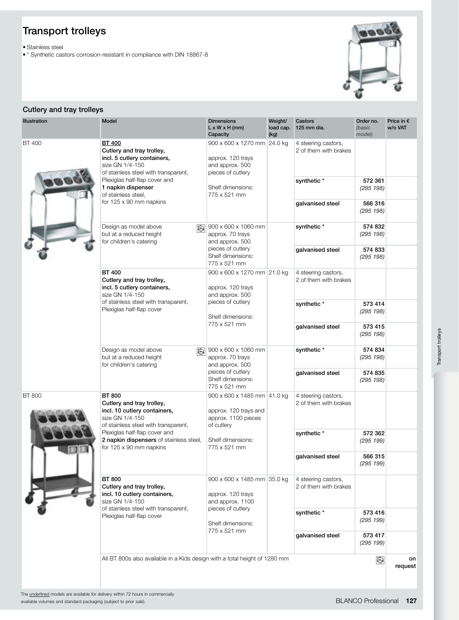• Stainless steel

• \* Synthetic castors corrosion-resistant in compliance with DIN 18867-8



#### Cutlery and tray trolleys

| <b>Illustration</b> | Model                                                                                                                                 | <b>Dimensions</b><br>$L \times W \times H$ (mm)<br>Capacity                                                                   | Weight/<br>load cap.<br>(kg) | Castors<br>125 mm dia.                       | Order no.<br>(basic<br>model) | Price in €<br>w/o VAT |
|---------------------|---------------------------------------------------------------------------------------------------------------------------------------|-------------------------------------------------------------------------------------------------------------------------------|------------------------------|----------------------------------------------|-------------------------------|-----------------------|
| <b>BT 400</b>       | <b>BT 400</b><br>Cutlery and tray trolley,<br>incl. 5 cutlery containers,<br>size GN 1/4-150<br>of stainless steel with transparent,  | 900 x 600 x 1270 mm 24.0 kg<br>approx. 120 trays<br>and approx. 500<br>pieces of cutlery                                      |                              | 4 steering castors,<br>2 of them with brakes |                               |                       |
|                     | Plexiglas half-flap cover and<br>1 napkin dispenser<br>of stainless steel.                                                            | Shelf dimensions:<br>775 x 521 mm                                                                                             |                              | synthetic *                                  | 572 361<br>(295 198)          |                       |
|                     | for 125 x 90 mm napkins                                                                                                               |                                                                                                                               |                              | galvanised steel                             | 566 316<br>(295 198)          |                       |
|                     | Design as model above<br>闷<br>but at a reduced height<br>for children's catering                                                      | 900 x 600 x 1060 mm<br>approx. 70 trays<br>and approx. 500                                                                    |                              | synthetic *                                  | 574 832<br>(295 198)          |                       |
|                     |                                                                                                                                       | pieces of cutlery<br>Shelf dimensions:<br>775 x 521 mm                                                                        |                              | galvanised steel                             | 574 833<br>(295 198)          |                       |
|                     | <b>BT 400</b><br>Cutlery and tray trolley,<br>incl. 5 cutlery containers,<br>size GN 1/4-150                                          | 900 x 600 x 1270 mm 21.0 kg<br>approx. 120 trays<br>and approx. 500<br>pieces of cutlery<br>Shelf dimensions:<br>775 x 521 mm |                              | 4 steering castors,<br>2 of them with brakes |                               |                       |
|                     | of stainless steel with transparent,<br>Plexiglas half-flap cover                                                                     |                                                                                                                               |                              | synthetic *                                  | 573 414<br>(295 198)          |                       |
|                     |                                                                                                                                       |                                                                                                                               |                              | galvanised steel                             | 573 415<br>(295 198)          |                       |
|                     | Design as model above<br>网<br>but at a reduced height<br>for children's catering                                                      | 900 x 600 x 1060 mm<br>approx. 70 trays<br>and approx. 500<br>pieces of cutlery<br>Shelf dimensions:<br>775 x 521 mm          |                              | synthetic*                                   | 574 834<br>(295 198)          |                       |
|                     |                                                                                                                                       |                                                                                                                               |                              | galvanised steel                             | 574 835<br>(295 198)          |                       |
| <b>BT 800</b>       | <b>BT 800</b><br>Cutlery and tray trolley,<br>incl. 10 cutlery containers,<br>size GN 1/4-150<br>of stainless steel with transparent, | 900 x 600 x 1485 mm 41.0 kg<br>approx. 120 trays and<br>approx. 1100 pieces<br>of cutlery                                     |                              | 4 steering castors,<br>2 of them with brakes |                               |                       |
|                     | Plexiglas half-flap cover and<br>2 napkin dispensers of stainless steel,<br>for 125 x 90 mm napkins                                   | Shelf dimensions:<br>775 x 521 mm                                                                                             |                              | synthetic *                                  | 572 362<br>(295 199)          |                       |
|                     |                                                                                                                                       |                                                                                                                               |                              | galvanised steel                             | 566 315<br>(295 199)          |                       |
|                     | <b>BT 800</b><br>Cutlery and tray trolley,<br>incl. 10 cutlery containers,<br>size GN 1/4-150                                         | 900 x 600 x 1485 mm 35.0 kg<br>approx. 120 trays<br>and approx. 1100                                                          |                              | 4 steering castors,<br>2 of them with brakes |                               |                       |
|                     | of stainless steel with transparent,<br>Plexiglas half-flap cover                                                                     | pieces of cutlery<br>Shelf dimensions:<br>775 x 521 mm                                                                        |                              | synthetic*                                   | 573 416<br>(295 199)          |                       |
|                     |                                                                                                                                       |                                                                                                                               |                              | galvanised steel                             | 573 417<br>(295 199)          |                       |
|                     | All BT 800s also available in a Kids design with a total height of 1280 mm                                                            |                                                                                                                               |                              |                                              | $\circledS$                   | on<br>request         |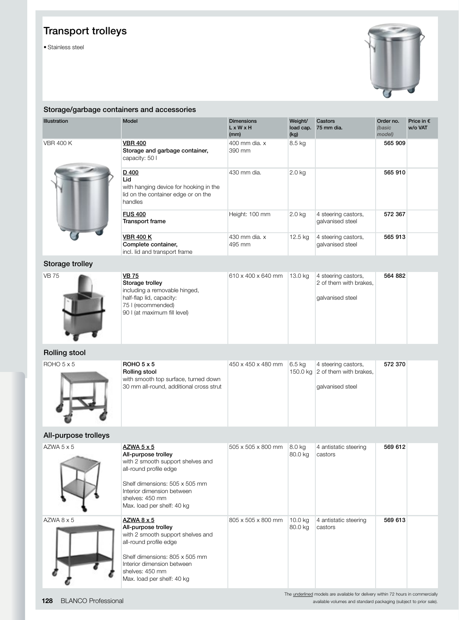• Stainless steel



#### Storage/garbage containers and accessories

| <b>Illustration</b>    | <b>Model</b>                                                                                             | <b>Dimensions</b><br>$L \times W \times H$<br>(mm) | Weight/<br>load cap.<br>(kg) | Castors<br>75 mm dia.                   | Order no.<br>(basic<br>model) | Price in $\epsilon$<br>w/o VAT |
|------------------------|----------------------------------------------------------------------------------------------------------|----------------------------------------------------|------------------------------|-----------------------------------------|-------------------------------|--------------------------------|
| <b>VBR 400 K</b>       | <b>VBR 400</b><br>Storage and garbage container,<br>capacity: 50 l                                       | 400 mm dia, x<br>390 mm                            | 8.5 kg                       |                                         | 565 909                       |                                |
|                        | D 400<br>Lid<br>with hanging device for hooking in the<br>lid on the container edge or on the<br>handles | 430 mm dia.                                        | $2.0$ kg                     |                                         | 565 910                       |                                |
|                        | <b>FUS 400</b><br><b>Transport frame</b>                                                                 | Height: 100 mm                                     | $2.0$ kg                     | 4 steering castors,<br>galvanised steel | 572 367                       |                                |
|                        | <b>VBR 400 K</b><br>Complete container,<br>incl. lid and transport frame                                 | 430 mm dia, x<br>495 mm                            | $12.5$ kg                    | 4 steering castors,<br>galvanised steel | 565 913                       |                                |
| <b>Storage trolley</b> |                                                                                                          |                                                    |                              |                                         |                               |                                |



| <b>VB 75</b>                  | 610 x 400 x 640 mm 13.0 kg | 4 steering castors,    | 564 882 |  |
|-------------------------------|----------------------------|------------------------|---------|--|
| Storage trolley               |                            | 2 of them with brakes, |         |  |
| including a removable hinged, |                            |                        |         |  |
| half-flap lid, capacity:      |                            | galvanised steel       |         |  |
| 75 I (recommended)            |                            |                        |         |  |
| 90 I (at maximum fill level)  |                            |                        |         |  |
|                               |                            |                        |         |  |
|                               |                            |                        |         |  |
|                               |                            |                        |         |  |
|                               |                            |                        |         |  |

#### Rolling stool

 $ROHO<sub>5</sub> x<sub>5</sub>$ 



| ROHO <sub>5</sub> × 5<br>Rolling stool<br>with smooth top surface, turned down | 450 x 450 x 480 mm | 6.5 kg | 4 steering castors,<br>150.0 kg 2 of them with brakes, | 572 370 |  |
|--------------------------------------------------------------------------------|--------------------|--------|--------------------------------------------------------|---------|--|
| 30 mm all-round, additional cross strut                                        |                    |        | galvanised steel                                       |         |  |
|                                                                                |                    |        |                                                        |         |  |

#### All-purpose trolleys

| $AZWA$ 5 $\times$ 5 | AZWA 5 x 5<br>All-purpose trolley<br>with 2 smooth support shelves and<br>all-round profile edge<br>Shelf dimensions: 505 x 505 mm<br>Interior dimension between<br>shelves: 450 mm<br>Max. load per shelf: 40 kg | 505 x 505 x 800 mm | 8.0 kg<br>80.0 kg  | 4 antistatic steering<br>castors | 569 612 |  |
|---------------------|-------------------------------------------------------------------------------------------------------------------------------------------------------------------------------------------------------------------|--------------------|--------------------|----------------------------------|---------|--|
| AZWA 8 x 5          | AZWA 8 x 5<br>All-purpose trolley<br>with 2 smooth support shelves and<br>all-round profile edge<br>Shelf dimensions: 805 x 505 mm<br>Interior dimension between<br>shelves: 450 mm<br>Max. load per shelf: 40 kg | 805 x 505 x 800 mm | 10.0 kg<br>80.0 kg | 4 antistatic steering<br>castors | 569 613 |  |

The underlined models are available for delivery within 72 hours in commercially available volumes and standard packaging (subject to prior sale).